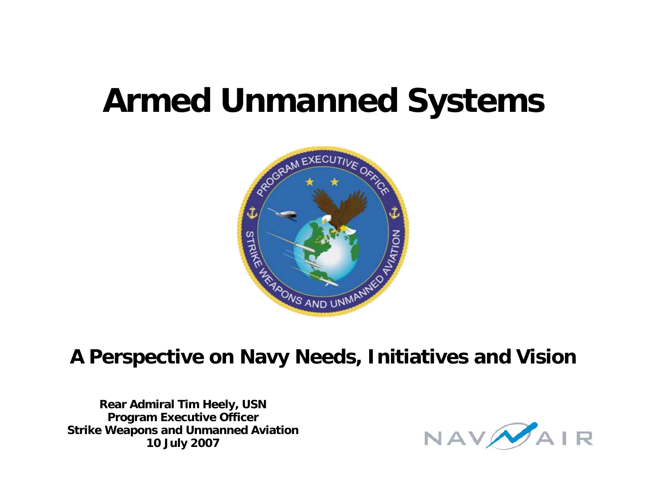# **Armed Unmanned Systems**



#### **A Perspective on Navy Needs, Initiatives and Vision**

**Rear Admiral Tim Heely, USN Program Executive Officer Strike Weapons and Unmanned Aviation 10 July 2007**

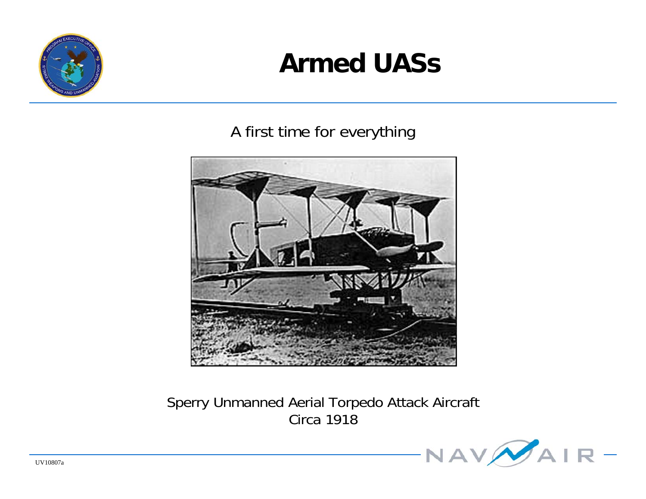

#### **Armed UASs**

#### A first time for everything



Sperry Unmanned Aerial Torpedo Attack Aircraft Circa 1918

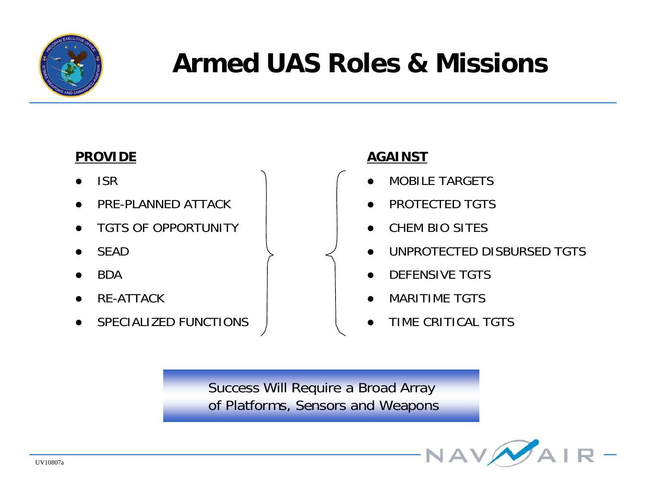

## **Armed UAS Roles & Missions**

#### **PROVIDE**

- $\bullet$ ISR
- $\bullet$ PRE-PLANNED ATTACK
- $\bullet$ TGTS OF OPPORTUNITY
- $\bullet$ SEAD
- $\bullet$ **BDA**
- $\bullet$ RE-ATTACK
- $\bullet$ SPECIALIZED FUNCTIONS

#### **AGAINST**

- $\bullet$ MOBILE TARGETS
- $\bullet$ PROTECTED TGTS
- $\bullet$ CHEM BIO SITES
- $\bullet$  UNPROTECTED DISBURSED TGTS
	- $\bullet$ DEFENSIVE TGTS
	- $\bullet$ MARITIME TGTS
- $\bullet$ TIME CRITICAL TGTS

Success Will Require a Broad Array of Platforms, Sensors and Weapons

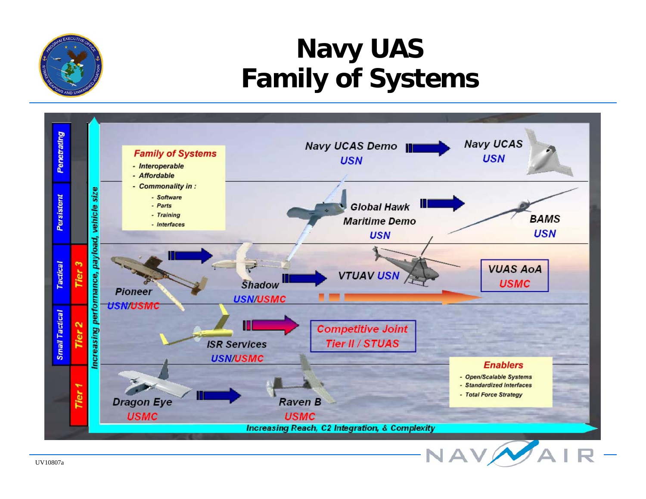

#### **Navy UAS Family of Systems**

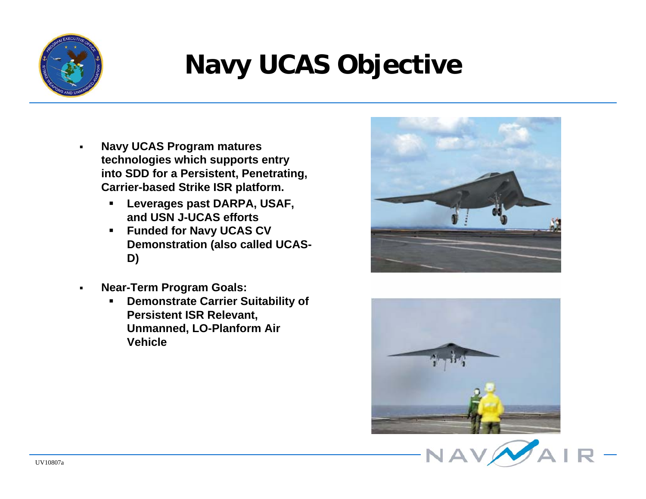

# **Navy UCAS Objective**

- $\blacksquare$  **Navy UCAS Program matures technologies which supports entry into SDD for a Persistent, Penetrating, Carrier-based Strike ISR platform.**
	- $\blacksquare$  **Leverages past DARPA, USAF, and USN J-UCAS efforts**
	- $\blacksquare$  **Funded for Navy UCAS CV Demonstration (also called UCAS-D)**
- $\blacksquare$  **Near-Term Program Goals:**
	- **Demonstrate Carrier Suitability of Persistent ISR Relevant, Unmanned, LO-Planform Air Vehicle**





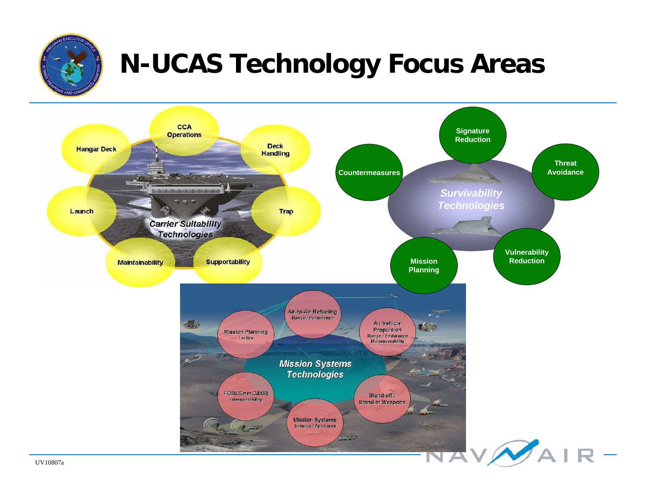

# **N-UCAS Technology Focus Areas**

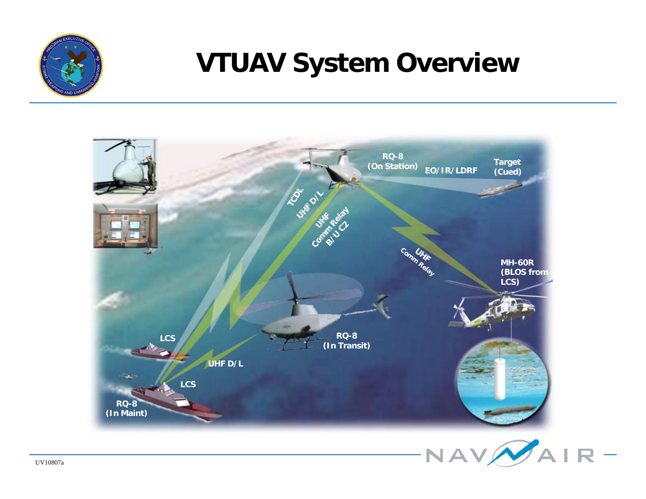

## **VTUAV System Overview**

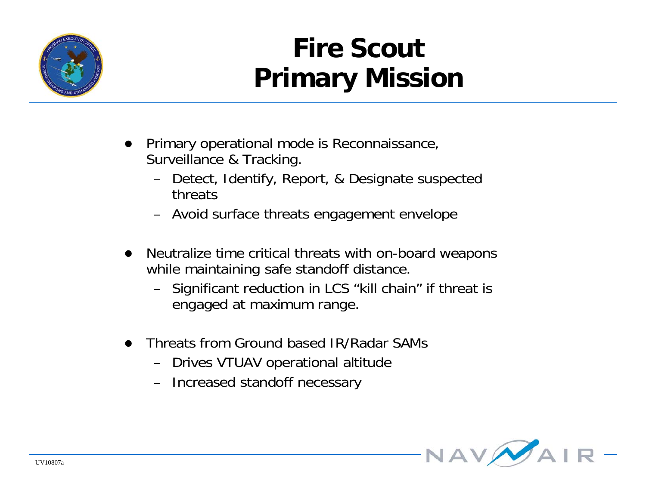

## **Fire ScoutPrimary Mission**

- $\bullet$  Primary operational mode is Reconnaissance, Surveillance & Tracking.
	- Detect, Identify, Report, & Designate suspected threats
	- Avoid surface threats engagement envelope
- $\bullet$  Neutralize time critical threats with on-board weapons while maintaining safe standoff distance.
	- Significant reduction in LCS "kill chain" if threat is engaged at maximum range.
- $\bullet$  Threats from Ground based IR/Radar SAMs
	- Drives VTUAV operational altitude
	- Increased standoff necessary

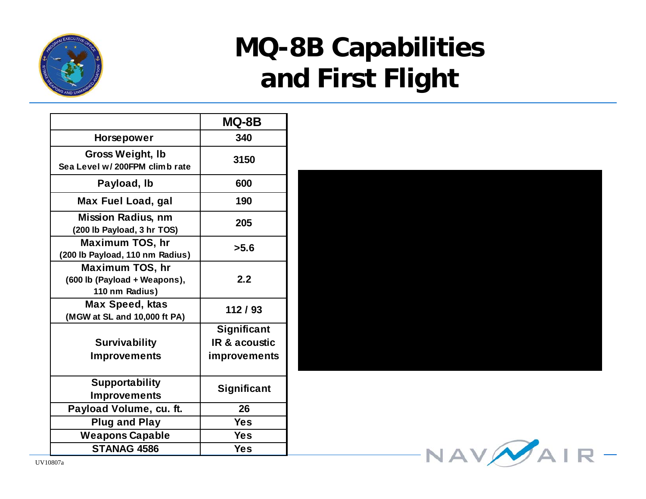

## **MQ-8B Capabilities and First Flight**

|                                                                          | MQ-8B              |
|--------------------------------------------------------------------------|--------------------|
| <b>Horsepower</b>                                                        | 340                |
| <b>Gross Weight, Ib</b><br>Sea Level w/200FPM climb rate                 | 3150               |
| Payload, Ib                                                              | 600                |
| Max Fuel Load, gal                                                       | 190                |
| <b>Mission Radius, nm</b><br>(200 lb Payload, 3 hr TOS)                  | 205                |
| <b>Maximum TOS, hr</b><br>(200 lb Payload, 110 nm Radius)                | >5.6               |
| <b>Maximum TOS, hr</b><br>(600 lb (Payload + Weapons),<br>110 nm Radius) | 2.2                |
| <b>Max Speed, ktas</b><br>(MGW at SL and 10,000 ft PA)                   | 112/93             |
|                                                                          | <b>Significant</b> |
| <b>Survivability</b>                                                     | IR & acoustic      |
| <b>Improvements</b>                                                      | improvements       |
| <b>Supportability</b>                                                    | Significant        |
| <b>Improvements</b>                                                      |                    |
| Payload Volume, cu. ft.                                                  | 26                 |
| <b>Plug and Play</b>                                                     | <b>Yes</b>         |
| <b>Weapons Capable</b>                                                   | <b>Yes</b>         |
| STANAG 4586                                                              | <b>Yes</b>         |



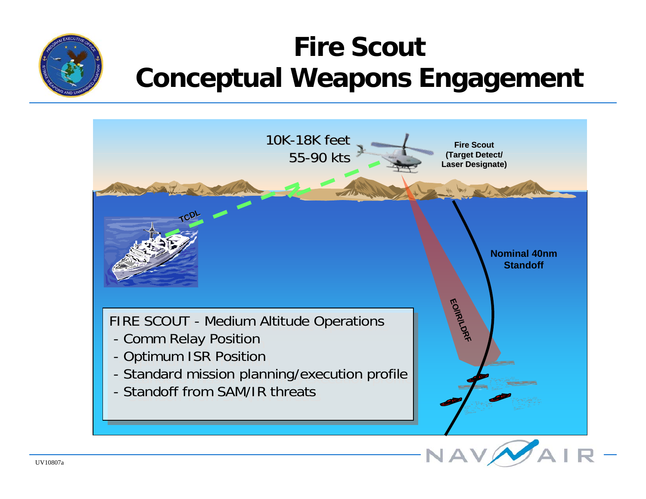### **Fire ScoutConceptual Weapons Engagement**

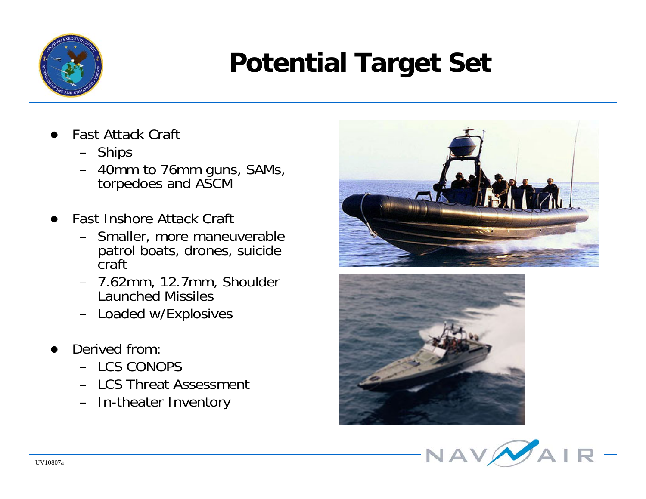

# **Potential Target Set**

- $\bullet$  Fast Attack Craft
	- Ships
	- 40mm to 76mm guns, SAMs, torpedoes and ASCM
- $\bullet$  Fast Inshore Attack Craft
	- Smaller, more maneuverable patrol boats, drones, suicide craft
	- 7.62mm, 12.7mm, Shoulder Launched Missiles
	- Loaded w/Explosives
- $\bullet$  Derived from:
	- LCS CONOPS
	- LCS Threat Assessment
	- In-theater Inventory





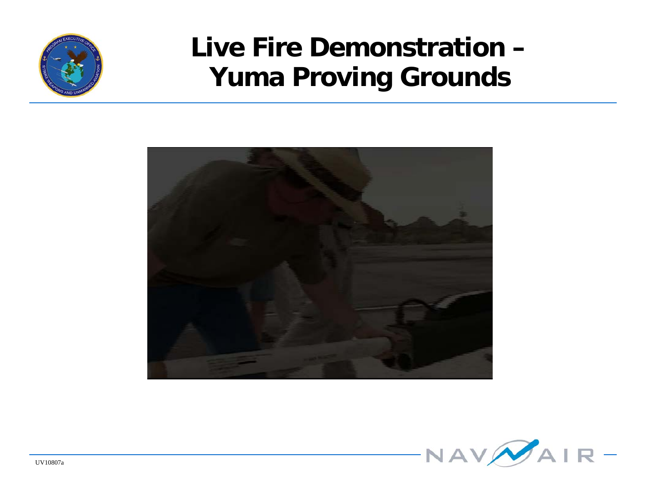

#### **Live Fire Demonstration –Yuma Proving Grounds**



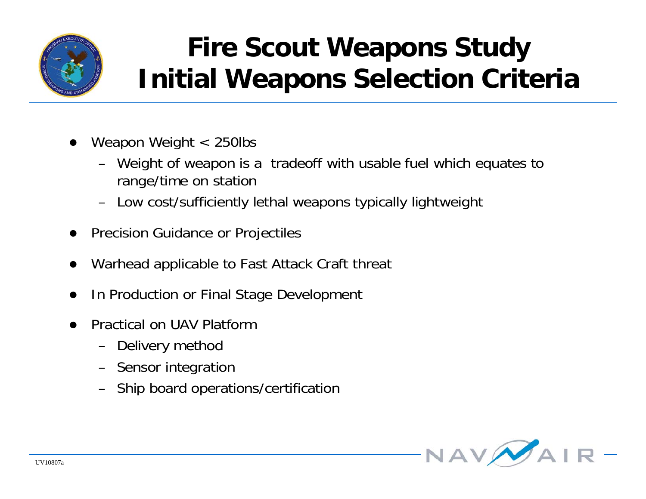

## **Fire Scout Weapons Study Initial Weapons Selection Criteria**

- $\bullet$  Weapon Weight < 250lbs
	- Weight of weapon is a tradeoff with usable fuel which equates to range/time on station
	- Low cost/sufficiently lethal weapons typically lightweight
- $\bullet$ Precision Guidance or Projectiles
- $\bullet$ Warhead applicable to Fast Attack Craft threat
- $\bullet$ In Production or Final Stage Development
- $\bullet$  Practical on UAV Platform
	- Delivery method
	- Sensor integration
	- Ship board operations/certification

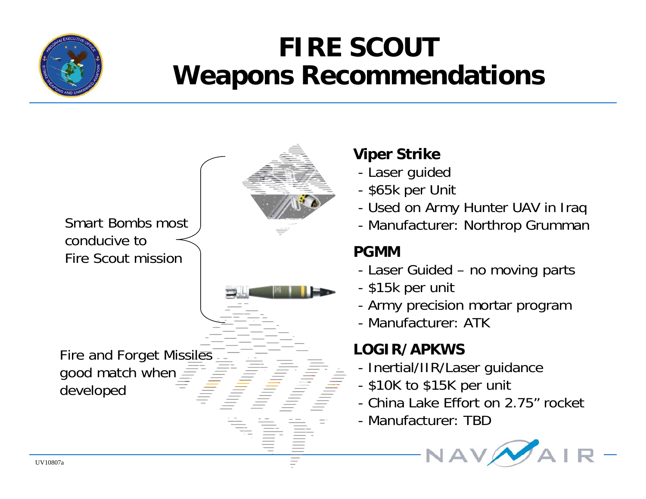

#### **FIRE SCOUT Weapons Recommendations**



#### **Viper Strike**

- Laser guided
- \$65k per Unit
- Used on Army Hunter UAV in Iraq
- Manufacturer: Northrop Grumman

#### **PGMM**

- Laser Guided no moving parts
- \$15k per unit
- Army precision mortar program
- Manufacturer: ATK

#### **LOGIR/APKWS**

- Inertial/IIR/Laser guidance
- \$10K to \$15K per unit
- China Lake Effort on 2.75" rocket
- Manufacturer: TBD

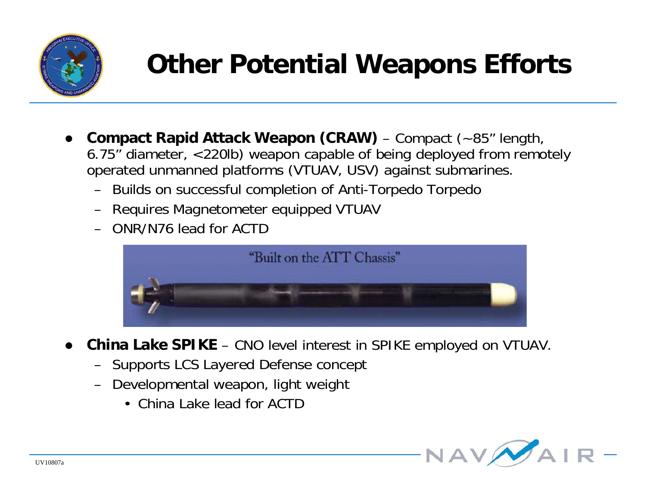

# **Other Potential Weapons Efforts**

- $\bullet$  **Compact Rapid Attack Weapon (CRAW)** – Compact (~85" length, 6.75" diameter, <220lb) weapon capable of being deployed from remotely operated unmanned platforms (VTUAV, USV) against submarines.
	- Builds on successful completion of Anti-Torpedo Torpedo
	- Requires Magnetometer equipped VTUAV
	- ONR/N76 lead for ACTD



- $\bullet$  **China Lake SPIKE** – CNO level interest in SPIKE employed on VTUAV.
	- Supports LCS Layered Defense concept
	- Developmental weapon, light weight
		- China Lake lead for ACTD

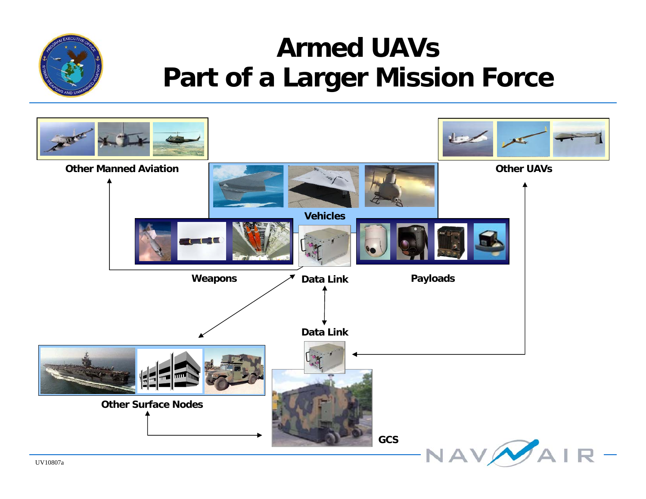### **Armed UAVsPart of a Larger Mission Force**